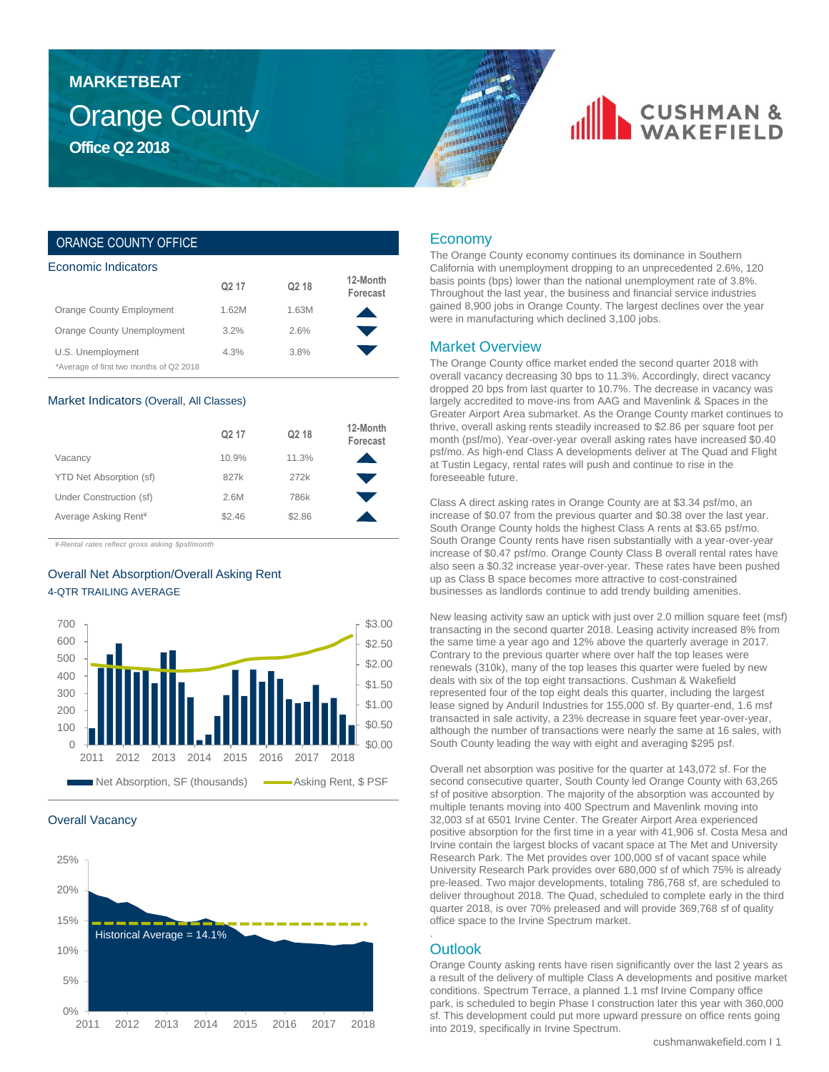## Orange County **Office Q2 2018 MARKETBEAT**

## **CUSHMAN &**

## ORANGE COUNTY OFFICE

| Economic Indicators                     |                   |                   |                      |  |  |  |  |
|-----------------------------------------|-------------------|-------------------|----------------------|--|--|--|--|
|                                         | Q <sub>2</sub> 17 | Q <sub>2</sub> 18 | 12-Month<br>Forecast |  |  |  |  |
| Orange County Employment                | 1.62M             | 1.63M             |                      |  |  |  |  |
| Orange County Unemployment              | 3.2%              | 2.6%              |                      |  |  |  |  |
| U.S. Unemployment                       | 4.3%              | 3.8%              |                      |  |  |  |  |
| *Average of first two months of Q2 2018 |                   |                   |                      |  |  |  |  |

#### Market Indicators (Overall, All Classes)

|                                  | Q <sub>2</sub> 17 | Q <sub>2</sub> 18 | 12-Month<br>Forecast |
|----------------------------------|-------------------|-------------------|----------------------|
| Vacancy                          | 10.9%             | 11.3%             |                      |
| YTD Net Absorption (sf)          | 827k              | 272k              |                      |
| Under Construction (sf)          | 2.6M              | 786k              |                      |
| Average Asking Rent <sup>*</sup> | \$2.46            | \$2.86            |                      |

*¥-Rental rates reflect gross asking \$psf/month*

## Overall Net Absorption/Overall Asking Rent 4-QTR TRAILING AVERAGE



#### Overall Vacancy



### Economy

The Orange County economy continues its dominance in Southern California with unemployment dropping to an unprecedented 2.6%, 120 basis points (bps) lower than the national unemployment rate of 3.8%. Throughout the last year, the business and financial service industries gained 8,900 jobs in Orange County. The largest declines over the year were in manufacturing which declined 3,100 jobs.

#### Market Overview

The Orange County office market ended the second quarter 2018 with overall vacancy decreasing 30 bps to 11.3%. Accordingly, direct vacancy dropped 20 bps from last quarter to 10.7%. The decrease in vacancy was largely accredited to move-ins from AAG and Mavenlink & Spaces in the Greater Airport Area submarket. As the Orange County market continues to thrive, overall asking rents steadily increased to \$2.86 per square foot per month (psf/mo). Year-over-year overall asking rates have increased \$0.40 psf/mo. As high-end Class A developments deliver at The Quad and Flight at Tustin Legacy, rental rates will push and continue to rise in the foreseeable future.

Class A direct asking rates in Orange County are at \$3.34 psf/mo, an increase of \$0.07 from the previous quarter and \$0.38 over the last year. South Orange County holds the highest Class A rents at \$3.65 psf/mo. South Orange County rents have risen substantially with a year-over-year increase of \$0.47 psf/mo. Orange County Class B overall rental rates have also seen a \$0.32 increase year-over-year. These rates have been pushed up as Class B space becomes more attractive to cost-constrained businesses as landlords continue to add trendy building amenities.

New leasing activity saw an uptick with just over 2.0 million square feet (msf) transacting in the second quarter 2018. Leasing activity increased 8% from the same time a year ago and 12% above the quarterly average in 2017. Contrary to the previous quarter where over half the top leases were renewals (310k), many of the top leases this quarter were fueled by new deals with six of the top eight transactions. Cushman & Wakefield represented four of the top eight deals this quarter, including the largest lease signed by Anduril Industries for 155,000 sf. By quarter-end, 1.6 msf transacted in sale activity, a 23% decrease in square feet year-over-year, although the number of transactions were nearly the same at 16 sales, with South County leading the way with eight and averaging \$295 psf.

Overall net absorption was positive for the quarter at 143,072 sf. For the second consecutive quarter, South County led Orange County with 63,265 sf of positive absorption. The majority of the absorption was accounted by multiple tenants moving into 400 Spectrum and Mavenlink moving into 32,003 sf at 6501 Irvine Center. The Greater Airport Area experienced positive absorption for the first time in a year with 41,906 sf. Costa Mesa and Irvine contain the largest blocks of vacant space at The Met and University Research Park. The Met provides over 100,000 sf of vacant space while University Research Park provides over 680,000 sf of which 75% is already pre-leased. Two major developments, totaling 786,768 sf, are scheduled to deliver throughout 2018. The Quad, scheduled to complete early in the third quarter 2018, is over 70% preleased and will provide 369,768 sf of quality office space to the Irvine Spectrum market.

## **Outlook**

.

Orange County asking rents have risen significantly over the last 2 years as a result of the delivery of multiple Class A developments and positive market conditions. Spectrum Terrace, a planned 1.1 msf Irvine Company office park, is scheduled to begin Phase I construction later this year with 360,000 sf. This development could put more upward pressure on office rents going into 2019, specifically in Irvine Spectrum.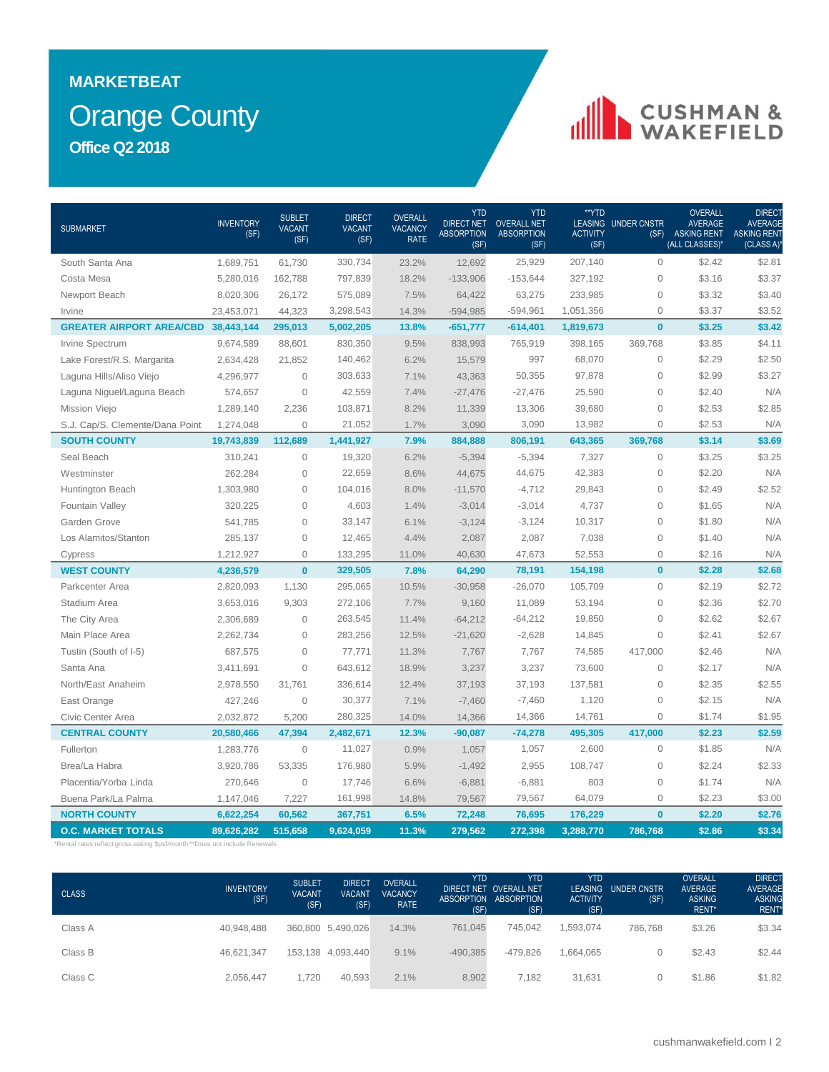## Orange County **MARKETBEAT Office Q2 2018**

## CUSHMAN &

| <b>SUBMARKET</b>                                                           | <b>INVENTORY</b><br>(SF) | <b>SUBLET</b><br><b>VACANT</b><br>(SF) | <b>DIRECT</b><br><b>VACANT</b><br>(SF) | <b>OVERALL</b><br><b>VACANCY</b><br><b>RATE</b> | <b>YTD</b><br><b>DIRECT NET</b><br><b>ABSORPTION</b><br>(SF) | <b>YTD</b><br><b>OVERALL NET</b><br><b>ABSORPTION</b><br>(SF) | **YTD<br><b>ACTIVITY</b><br>(SF) | <b>LEASING UNDER CNSTR</b><br>(SF) | <b>OVERALL</b><br><b>AVERAGE</b><br><b>ASKING RENT</b><br>(ALL CLASSES)* | DIRECT<br><b>AVERAGE</b><br><b>ASKING RENT</b><br>(CLASS A) |
|----------------------------------------------------------------------------|--------------------------|----------------------------------------|----------------------------------------|-------------------------------------------------|--------------------------------------------------------------|---------------------------------------------------------------|----------------------------------|------------------------------------|--------------------------------------------------------------------------|-------------------------------------------------------------|
| South Santa Ana                                                            | 1,689,751                | 61,730                                 | 330,734                                | 23.2%                                           | 12,692                                                       | 25,929                                                        | 207,140                          | $\mathbf{O}$                       | \$2.42                                                                   | \$2.81                                                      |
| Costa Mesa                                                                 | 5,280,016                | 162,788                                | 797,839                                | 18.2%                                           | $-133,906$                                                   | $-153,644$                                                    | 327,192                          | $\mathbf 0$                        | \$3.16                                                                   | \$3.37                                                      |
| Newport Beach                                                              | 8,020,306                | 26,172                                 | 575,089                                | 7.5%                                            | 64,422                                                       | 63,275                                                        | 233,985                          | $\mathbf{O}$                       | \$3.32                                                                   | \$3.40                                                      |
| Irvine                                                                     | 23,453,071               | 44,323                                 | 3,298,543                              | 14.3%                                           | $-594,985$                                                   | $-594,961$                                                    | 1,051,356                        | $\mathsf{O}\xspace$                | \$3.37                                                                   | \$3.52                                                      |
| <b>GREATER AIRPORT AREA/CBD 38,443,144</b>                                 |                          | 295,013                                | 5,002,205                              | 13.8%                                           | $-651,777$                                                   | $-614,401$                                                    | 1,819,673                        | $\mathbf{0}$                       | \$3.25                                                                   | \$3.42                                                      |
| Irvine Spectrum                                                            | 9,674,589                | 88,601                                 | 830,350                                | 9.5%                                            | 838,993                                                      | 765,919                                                       | 398,165                          | 369,768                            | \$3.85                                                                   | \$4.11                                                      |
| Lake Forest/R.S. Margarita                                                 | 2,634,428                | 21,852                                 | 140,462                                | 6.2%                                            | 15,579                                                       | 997                                                           | 68,070                           | $\mathbf{0}$                       | \$2.29                                                                   | \$2.50                                                      |
| Laguna Hills/Aliso Viejo                                                   | 4,296,977                | $\overline{0}$                         | 303,633                                | 7.1%                                            | 43,363                                                       | 50,355                                                        | 97,878                           | $\mathbf 0$                        | \$2.99                                                                   | \$3.27                                                      |
| Laguna Niguel/Laguna Beach                                                 | 574,657                  | $\Omega$                               | 42,559                                 | 7.4%                                            | $-27,476$                                                    | $-27,476$                                                     | 25,590                           | $\mathbf{0}$                       | \$2.40                                                                   | N/A                                                         |
| Mission Viejo                                                              | 1,289,140                | 2,236                                  | 103,871                                | 8.2%                                            | 11,339                                                       | 13,306                                                        | 39,680                           | $\overline{0}$                     | \$2.53                                                                   | \$2.85                                                      |
| S.J. Cap/S. Clemente/Dana Point                                            | 1,274,048                | $\mathbf 0$                            | 21,052                                 | 1.7%                                            | 3,090                                                        | 3,090                                                         | 13,982                           | $\mathsf{O}\xspace$                | \$2.53                                                                   | N/A                                                         |
| <b>SOUTH COUNTY</b>                                                        | 19,743,839               | 112,689                                | 1,441,927                              | 7.9%                                            | 884,888                                                      | 806,191                                                       | 643,365                          | 369,768                            | \$3.14                                                                   | \$3.69                                                      |
| Seal Beach                                                                 | 310,241                  | $\circ$                                | 19,320                                 | 6.2%                                            | $-5,394$                                                     | $-5,394$                                                      | 7,327                            | $\mathbb O$                        | \$3.25                                                                   | \$3.25                                                      |
| Westminster                                                                | 262,284                  | $\circ$                                | 22,659                                 | 8.6%                                            | 44,675                                                       | 44,675                                                        | 42,383                           | $\mathsf{O}\xspace$                | \$2.20                                                                   | N/A                                                         |
| Huntington Beach                                                           | 1,303,980                | $\mathbf 0$                            | 104,016                                | 8.0%                                            | $-11,570$                                                    | $-4,712$                                                      | 29,843                           | $\mathbf 0$                        | \$2.49                                                                   | \$2.52                                                      |
| Fountain Valley                                                            | 320,225                  | $\mathbf 0$                            | 4,603                                  | 1.4%                                            | $-3,014$                                                     | $-3,014$                                                      | 4,737                            | $\mathbf{0}$                       | \$1.65                                                                   | N/A                                                         |
| Garden Grove                                                               | 541,785                  | $\mathbf 0$                            | 33,147                                 | 6.1%                                            | $-3,124$                                                     | $-3,124$                                                      | 10,317                           | $\mathbf{0}$                       | \$1.80                                                                   | N/A                                                         |
| Los Alamitos/Stanton                                                       | 285,137                  | $\mathbf 0$                            | 12,465                                 | 4.4%                                            | 2,087                                                        | 2,087                                                         | 7,038                            | $\mathbf{0}$                       | \$1.40                                                                   | N/A                                                         |
| Cypress                                                                    | 1,212,927                | $\mathbf 0$                            | 133,295                                | 11.0%                                           | 40,630                                                       | 47,673                                                        | 52,553                           | $\mathsf{O}\xspace$                | \$2.16                                                                   | N/A                                                         |
| <b>WEST COUNTY</b>                                                         | 4,236,579                | $\mathbf{0}$                           | 329,505                                | 7.8%                                            | 64,290                                                       | 78,191                                                        | 154,198                          | $\mathbf{0}$                       | \$2.28                                                                   | \$2.68                                                      |
| Parkcenter Area                                                            | 2,820,093                | 1,130                                  | 295,065                                | 10.5%                                           | $-30,958$                                                    | $-26,070$                                                     | 105,709                          | $\mathbf 0$                        | \$2.19                                                                   | \$2.72                                                      |
| Stadium Area                                                               | 3,653,016                | 9,303                                  | 272,106                                | 7.7%                                            | 9,160                                                        | 11,089                                                        | 53,194                           | $\mathsf{O}\xspace$                | \$2.36                                                                   | \$2.70                                                      |
| The City Area                                                              | 2,306,689                | $\mathbf 0$                            | 263,545                                | 11.4%                                           | $-64,212$                                                    | $-64,212$                                                     | 19,850                           | $\mathbf{0}$                       | \$2.62                                                                   | \$2.67                                                      |
| Main Place Area                                                            | 2,262,734                | $\mathbf 0$                            | 283,256                                | 12.5%                                           | $-21,620$                                                    | $-2,628$                                                      | 14,845                           | $\mathsf{O}\xspace$                | \$2.41                                                                   | \$2.67                                                      |
| Tustin (South of I-5)                                                      | 687,575                  | $\mathbf 0$                            | 77,771                                 | 11.3%                                           | 7,767                                                        | 7,767                                                         | 74,585                           | 417,000                            | \$2.46                                                                   | N/A                                                         |
| Santa Ana                                                                  | 3,411,691                | $\mathbf 0$                            | 643,612                                | 18.9%                                           | 3,237                                                        | 3,237                                                         | 73,600                           | $\mathsf{O}\xspace$                | \$2.17                                                                   | N/A                                                         |
| North/East Anaheim                                                         | 2,978,550                | 31.761                                 | 336,614                                | 12.4%                                           | 37,193                                                       | 37,193                                                        | 137,581                          | $\mathbf{0}$                       | \$2.35                                                                   | \$2.55                                                      |
| East Orange                                                                | 427,246                  | $\mathbf 0$                            | 30,377                                 | 7.1%                                            | $-7,460$                                                     | $-7,460$                                                      | 1,120                            | $\mathbf{O}$                       | \$2.15                                                                   | N/A                                                         |
| Civic Center Area                                                          | 2,032,872                | 5,200                                  | 280,325                                | 14.0%                                           | 14,366                                                       | 14,366                                                        | 14,761                           | $\mathbf{O}$                       | \$1.74                                                                   | \$1.95                                                      |
| <b>CENTRAL COUNTY</b>                                                      | 20,580,466               | 47,394                                 | 2,482,671                              | 12.3%                                           | $-90,087$                                                    | $-74,278$                                                     | 495,305                          | 417,000                            | \$2.23                                                                   | \$2.59                                                      |
| Fullerton                                                                  | 1,283,776                | $\mathbf 0$                            | 11,027                                 | 0.9%                                            | 1,057                                                        | 1,057                                                         | 2,600                            | $\mathsf{O}\xspace$                | \$1.85                                                                   | N/A                                                         |
| Brea/La Habra                                                              | 3,920,786                | 53,335                                 | 176,980                                | 5.9%                                            | $-1,492$                                                     | 2,955                                                         | 108,747                          | $\mathsf{O}\xspace$                | \$2.24                                                                   | \$2.33                                                      |
| Placentia/Yorba Linda                                                      | 270,646                  | $\mathbf 0$                            | 17,746                                 | 6.6%                                            | $-6,881$                                                     | $-6,881$                                                      | 803                              | $\mathsf{O}\xspace$                | \$1.74                                                                   | N/A                                                         |
| Buena Park/La Palma                                                        | 1,147,046                | 7,227                                  | 161,998                                | 14.8%                                           | 79,567                                                       | 79,567                                                        | 64,079                           | $\mathsf{O}\xspace$                | \$2.23                                                                   | \$3.00                                                      |
| <b>NORTH COUNTY</b>                                                        | 6,622,254                | 60,562                                 | 367,751                                | 6.5%                                            | 72,248                                                       | 76,695                                                        | 176,229                          | $\mathbf{0}$                       | \$2.20                                                                   | \$2.76                                                      |
| <b>O.C. MARKET TOTALS</b>                                                  | 89,626,282               | 515,658                                | 9,624,059                              | 11.3%                                           | 279,562                                                      | 272,398                                                       | 3,288,770                        | 786,768                            | \$2.86                                                                   | \$3.34                                                      |
| *Rental rates reflect gross asking \$psf/month **Does not include Renewals |                          |                                        |                                        |                                                 |                                                              |                                                               |                                  |                                    |                                                                          |                                                             |

| <b>CLASS</b> | <b>INVENTORY</b><br>(SF) | <b>SUBLET</b><br><b>VACANT</b><br>(SF) | <b>DIRECT</b><br><b>VACANT</b><br>(SF) | <b>OVERALL</b><br><b>VACANCY</b><br><b>RATE</b> | <b>YTD</b><br>(SF) | <b>YTD</b><br>DIRECT NET OVERALL NET<br>ABSORPTION ABSORPTION<br>(SF) | <b>YTD</b><br><b>ACTIVITY</b><br>(SF) | LEASING UNDER CNSTR<br>(SF) | <b>OVERALL</b><br><b>AVERAGE</b><br><b>ASKING</b><br>RENT* | <b>DIRECT</b><br><b>AVERAGE</b><br><b>ASKING</b><br><b>RENT</b> |
|--------------|--------------------------|----------------------------------------|----------------------------------------|-------------------------------------------------|--------------------|-----------------------------------------------------------------------|---------------------------------------|-----------------------------|------------------------------------------------------------|-----------------------------------------------------------------|
| Class A      | 40.948.488               |                                        | 360,800 5,490,026                      | 14.3%                                           | 761.045            | 745.042                                                               | 1,593,074                             | 786.768                     | \$3.26                                                     | \$3.34                                                          |
| Class B      | 46.621.347               |                                        | 153,138 4,093,440                      | 9.1%                                            | $-490,385$         | $-479.826$                                                            | .664.065                              |                             | \$2.43                                                     | \$2.44                                                          |
| Class C      | 2.056.447                | 1,720                                  | 40.593                                 | 2.1%                                            | 8,902              | 7.182                                                                 | 31.631                                |                             | \$1.86                                                     | \$1.82                                                          |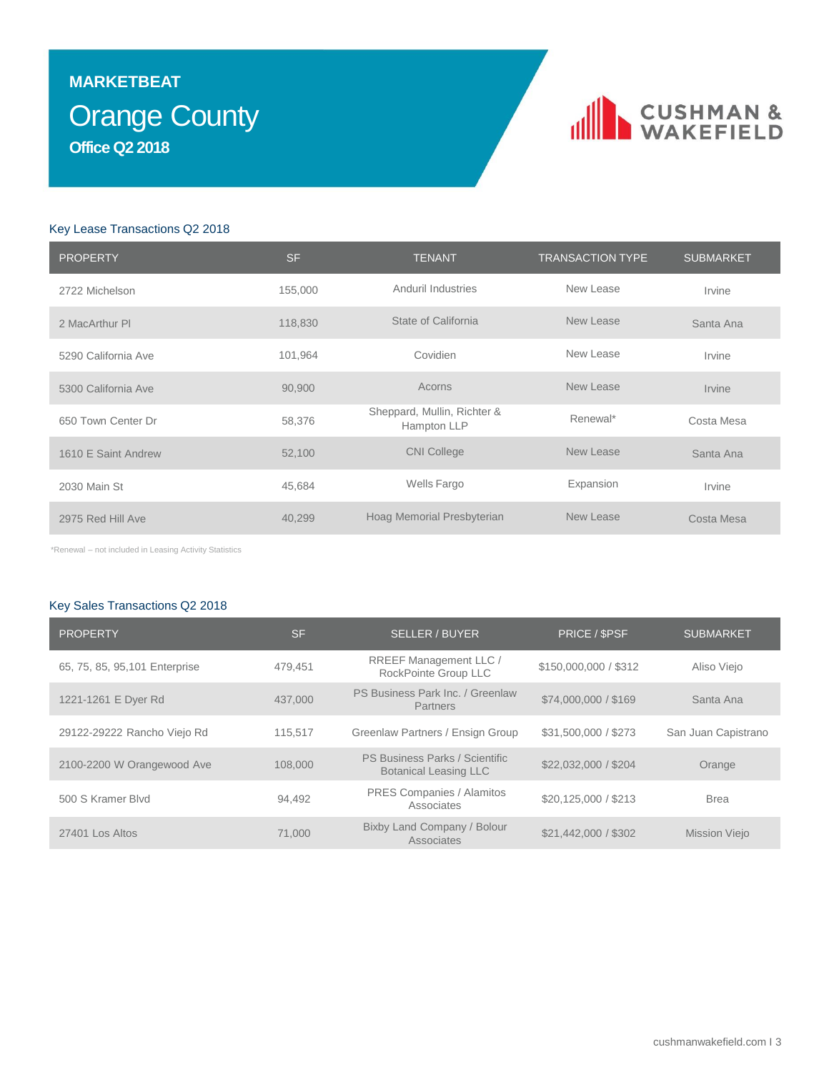## Orange County **MARKETBEAT Office Q2 2018**

# **IN CUSHMAN &**

### Key Lease Transactions Q2 2018

| <b>PROPERTY</b>     | <b>SF</b> | <b>TENANT</b>                              | <b>TRANSACTION TYPE</b> | <b>SUBMARKET</b> |
|---------------------|-----------|--------------------------------------------|-------------------------|------------------|
| 2722 Michelson      | 155,000   | Anduril Industries                         | New Lease               | Irvine           |
| 2 MacArthur PI      | 118,830   | State of California                        | New Lease               | Santa Ana        |
| 5290 California Ave | 101,964   | Covidien                                   | New Lease               | Irvine           |
| 5300 California Ave | 90,900    | Acorns                                     | New Lease               | Irvine           |
| 650 Town Center Dr  | 58,376    | Sheppard, Mullin, Richter &<br>Hampton LLP | Renewal*                | Costa Mesa       |
| 1610 E Saint Andrew | 52,100    | <b>CNI College</b>                         | New Lease               | Santa Ana        |
| 2030 Main St        | 45,684    | Wells Fargo                                | Expansion               | Irvine           |
| 2975 Red Hill Ave   | 40,299    | Hoag Memorial Presbyterian                 | New Lease               | Costa Mesa       |

\*Renewal – not included in Leasing Activity Statistics

## Key Sales Transactions Q2 2018

| <b>PROPERTY</b>                | <b>SF</b> | <b>SELLER / BUYER</b>                                          | PRICE / \$PSF         | <b>SUBMARKET</b>     |
|--------------------------------|-----------|----------------------------------------------------------------|-----------------------|----------------------|
| 65, 75, 85, 95, 101 Enterprise | 479.451   | RREEF Management LLC /<br>RockPointe Group LLC                 | \$150,000,000 / \$312 | Aliso Viejo          |
| 1221-1261 E Dyer Rd            | 437,000   | PS Business Park Inc. / Greenlaw<br><b>Partners</b>            | \$74,000,000 / \$169  | Santa Ana            |
| 29122-29222 Rancho Viejo Rd    | 115.517   | Greenlaw Partners / Ensign Group                               | \$31,500,000 / \$273  | San Juan Capistrano  |
| 2100-2200 W Orangewood Ave     | 108,000   | PS Business Parks / Scientific<br><b>Botanical Leasing LLC</b> | \$22,032,000 / \$204  | Orange               |
| 500 S Kramer Blvd              | 94.492    | PRES Companies / Alamitos<br>Associates                        | \$20,125,000 / \$213  | <b>Brea</b>          |
| 27401 Los Altos                | 71,000    | Bixby Land Company / Bolour<br>Associates                      | \$21,442,000 / \$302  | <b>Mission Viejo</b> |